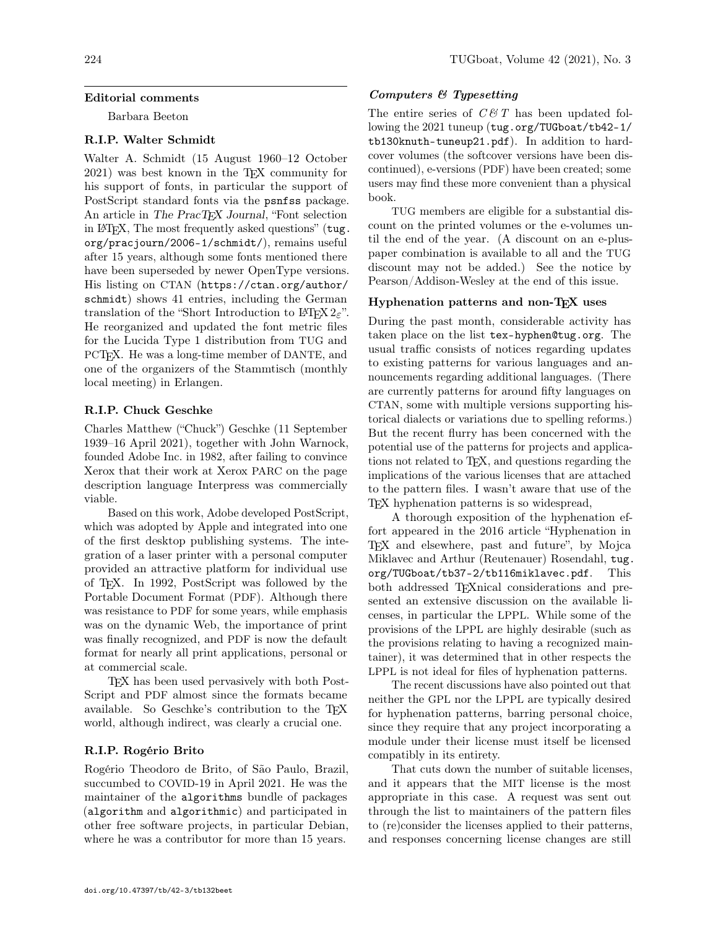# Editorial comments

Barbara Beeton

# R.I.P. Walter Schmidt

Walter A. Schmidt (15 August 1960–12 October 2021) was best known in the TEX community for his support of fonts, in particular the support of PostScript standard fonts via the psnfss package. An article in The PracT<sub>EX</sub> Journal, "Font selection" in LAT<sub>EX</sub>, The most frequently asked questions" ([tug.](https://tug.org/pracjourn/2006-1/schmidt/) [org/pracjourn/2006-1/schmidt/](https://tug.org/pracjourn/2006-1/schmidt/)), remains useful after 15 years, although some fonts mentioned there have been superseded by newer OpenType versions. His listing on CTAN ([https://ctan.org/author/](https://ctan.org/author/schmidt) [schmidt](https://ctan.org/author/schmidt)) shows 41 entries, including the German translation of the "Short Introduction to LATEX  $2\varepsilon$ ". He reorganized and updated the font metric files for the Lucida Type 1 distribution from TUG and PCTEX. He was a long-time member of DANTE, and one of the organizers of the Stammtisch (monthly local meeting) in Erlangen.

# R.I.P. Chuck Geschke

Charles Matthew ("Chuck") Geschke (11 September 1939–16 April 2021), together with John Warnock, founded Adobe Inc. in 1982, after failing to convince Xerox that their work at Xerox PARC on the page description language Interpress was commercially viable.

Based on this work, Adobe developed PostScript, which was adopted by Apple and integrated into one of the first desktop publishing systems. The integration of a laser printer with a personal computer provided an attractive platform for individual use of TEX. In 1992, PostScript was followed by the Portable Document Format (PDF). Although there was resistance to PDF for some years, while emphasis was on the dynamic Web, the importance of print was finally recognized, and PDF is now the default format for nearly all print applications, personal or at commercial scale.

TEX has been used pervasively with both Post-Script and PDF almost since the formats became available. So Geschke's contribution to the TEX world, although indirect, was clearly a crucial one.

### R.I.P. Rogério Brito

Rogério Theodoro de Brito, of São Paulo, Brazil, succumbed to COVID-19 in April 2021. He was the maintainer of the algorithms bundle of packages (algorithm and algorithmic) and participated in other free software projects, in particular Debian, where he was a contributor for more than 15 years.

# Computers & Typesetting

The entire series of  $C \mathcal{B} T$  has been updated following the 2021 tuneup ([tug.org/TUGboat/tb42-1/](https://tug.org/TUGboat/tb42-1/tb130knuth-tuneup21.pdf) [tb130knuth-tuneup21.pdf](https://tug.org/TUGboat/tb42-1/tb130knuth-tuneup21.pdf)). In addition to hardcover volumes (the softcover versions have been discontinued), e-versions (PDF) have been created; some users may find these more convenient than a physical book.

TUG members are eligible for a substantial discount on the printed volumes or the e-volumes until the end of the year. (A discount on an e-pluspaper combination is available to all and the TUG discount may not be added.) See the notice by Pearson/Addison-Wesley at the end of this issue.

# Hyphenation patterns and non-T<sub>F</sub>X uses

During the past month, considerable activity has taken place on the list <tex-hyphen@tug.org>. The usual traffic consists of notices regarding updates to existing patterns for various languages and announcements regarding additional languages. (There are currently patterns for around fifty languages on CTAN, some with multiple versions supporting historical dialects or variations due to spelling reforms.) But the recent flurry has been concerned with the potential use of the patterns for projects and applications not related to TEX, and questions regarding the implications of the various licenses that are attached to the pattern files. I wasn't aware that use of the TEX hyphenation patterns is so widespread,

A thorough exposition of the hyphenation effort appeared in the 2016 article "Hyphenation in TEX and elsewhere, past and future", by Mojca Miklavec and Arthur (Reutenauer) Rosendahl, [tug.](https://tug.org/TUGboat/tb37-2/tb116miklavec.pdf) [org/TUGboat/tb37-2/tb116miklavec.pdf](https://tug.org/TUGboat/tb37-2/tb116miklavec.pdf). This both addressed T<sub>E</sub>Xnical considerations and presented an extensive discussion on the available licenses, in particular the LPPL. While some of the provisions of the LPPL are highly desirable (such as the provisions relating to having a recognized maintainer), it was determined that in other respects the LPPL is not ideal for files of hyphenation patterns.

The recent discussions have also pointed out that neither the GPL nor the LPPL are typically desired for hyphenation patterns, barring personal choice, since they require that any project incorporating a module under their license must itself be licensed compatibly in its entirety.

That cuts down the number of suitable licenses, and it appears that the MIT license is the most appropriate in this case. A request was sent out through the list to maintainers of the pattern files to (re)consider the licenses applied to their patterns, and responses concerning license changes are still